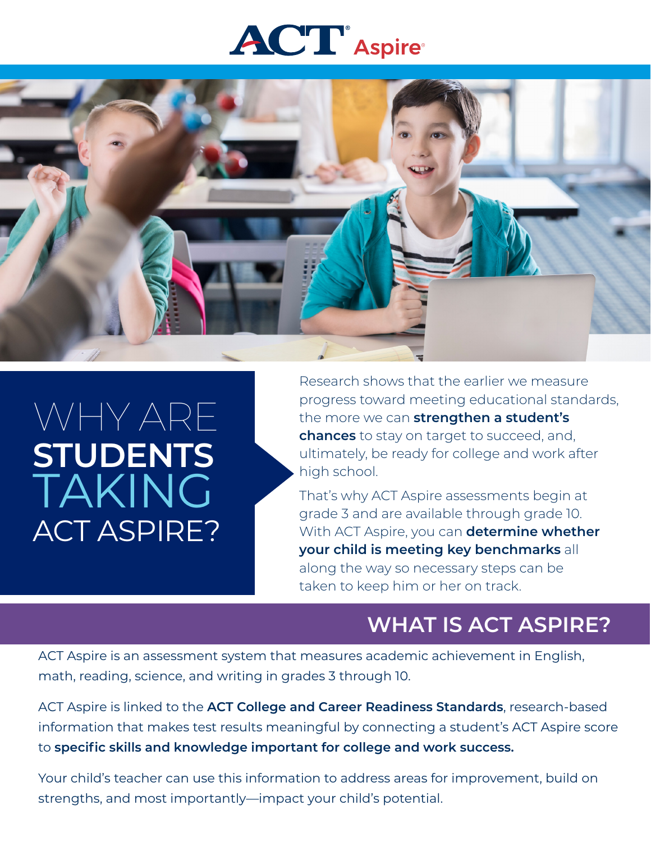# **ACT** Aspire



## WHY ARE **STUDENTS** TAKING ACT ASPIRE?

Research shows that the earlier we measure progress toward meeting educational standards, the more we can **strengthen a student's chances** to stay on target to succeed, and, ultimately, be ready for college and work after high school.

That's why ACT Aspire assessments begin at grade 3 and are available through grade 10. With ACT Aspire, you can **determine whether your child is meeting key benchmarks** all along the way so necessary steps can be taken to keep him or her on track.

#### **WHAT IS ACT ASPIRE?**

ACT Aspire is an assessment system that measures academic achievement in English, math, reading, science, and writing in grades 3 through 10.

ACT Aspire is linked to the **ACT College and Career Readiness Standards**, research-based information that makes test results meaningful by connecting a student's ACT Aspire score to **specific skills and knowledge important for college and work success.** 

Your child's teacher can use this information to address areas for improvement, build on strengths, and most importantly—impact your child's potential.